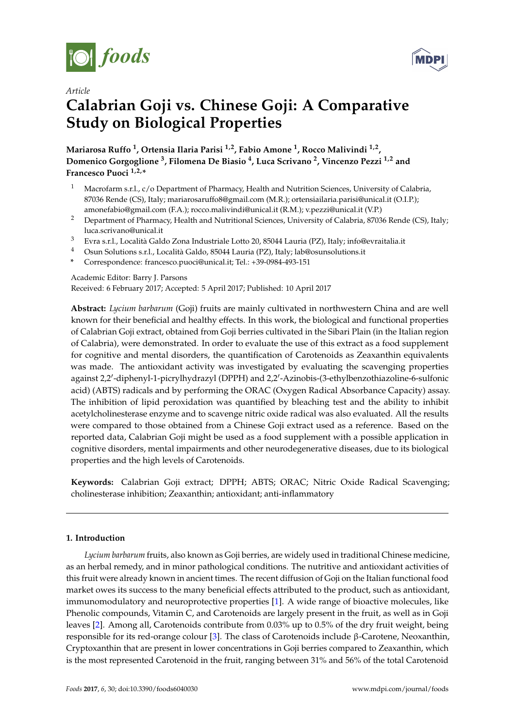



### *Article*

# **Calabrian Goji vs. Chinese Goji: A Comparative Study on Biological Properties**

**Mariarosa Ruffo <sup>1</sup> , Ortensia Ilaria Parisi 1,2, Fabio Amone <sup>1</sup> , Rocco Malivindi 1,2 , Domenico Gorgoglione <sup>3</sup> , Filomena De Biasio <sup>4</sup> , Luca Scrivano <sup>2</sup> , Vincenzo Pezzi 1,2 and Francesco Puoci 1,2,\***

- <sup>1</sup> Macrofarm s.r.l., c/o Department of Pharmacy, Health and Nutrition Sciences, University of Calabria, 87036 Rende (CS), Italy; mariarosaruffo8@gmail.com (M.R.); ortensiailaria.parisi@unical.it (O.I.P.); amonefabio@gmail.com (F.A.); rocco.malivindi@unical.it (R.M.); v.pezzi@unical.it (V.P.)
- <sup>2</sup> Department of Pharmacy, Health and Nutritional Sciences, University of Calabria, 87036 Rende (CS), Italy; luca.scrivano@unical.it
- <sup>3</sup> Evra s.r.l., Località Galdo Zona Industriale Lotto 20, 85044 Lauria (PZ), Italy; info@evraitalia.it
- <sup>4</sup> Osun Solutions s.r.l., Località Galdo, 85044 Lauria (PZ), Italy; lab@osunsolutions.it
- **\*** Correspondence: francesco.puoci@unical.it; Tel.: +39-0984-493-151

Academic Editor: Barry J. Parsons Received: 6 February 2017; Accepted: 5 April 2017; Published: 10 April 2017

**Abstract:** *Lycium barbarum* (Goji) fruits are mainly cultivated in northwestern China and are well known for their beneficial and healthy effects. In this work, the biological and functional properties of Calabrian Goji extract, obtained from Goji berries cultivated in the Sibari Plain (in the Italian region of Calabria), were demonstrated. In order to evaluate the use of this extract as a food supplement for cognitive and mental disorders, the quantification of Carotenoids as Zeaxanthin equivalents was made. The antioxidant activity was investigated by evaluating the scavenging properties against 2,2'-diphenyl-1-picrylhydrazyl (DPPH) and 2,2'-Azinobis-(3-ethylbenzothiazoline-6-sulfonic acid) (ABTS) radicals and by performing the ORAC (Oxygen Radical Absorbance Capacity) assay. The inhibition of lipid peroxidation was quantified by bleaching test and the ability to inhibit acetylcholinesterase enzyme and to scavenge nitric oxide radical was also evaluated. All the results were compared to those obtained from a Chinese Goji extract used as a reference. Based on the reported data, Calabrian Goji might be used as a food supplement with a possible application in cognitive disorders, mental impairments and other neurodegenerative diseases, due to its biological properties and the high levels of Carotenoids.

**Keywords:** Calabrian Goji extract; DPPH; ABTS; ORAC; Nitric Oxide Radical Scavenging; cholinesterase inhibition; Zeaxanthin; antioxidant; anti-inflammatory

### **1. Introduction**

*Lycium barbarum* fruits, also known as Goji berries, are widely used in traditional Chinese medicine, as an herbal remedy, and in minor pathological conditions. The nutritive and antioxidant activities of this fruit were already known in ancient times. The recent diffusion of Goji on the Italian functional food market owes its success to the many beneficial effects attributed to the product, such as antioxidant, immunomodulatory and neuroprotective properties [\[1\]](#page-8-0). A wide range of bioactive molecules, like Phenolic compounds, Vitamin C, and Carotenoids are largely present in the fruit, as well as in Goji leaves [\[2\]](#page-8-1). Among all, Carotenoids contribute from 0.03% up to 0.5% of the dry fruit weight, being responsible for its red-orange colour [\[3\]](#page-8-2). The class of Carotenoids include β-Carotene, Neoxanthin, Cryptoxanthin that are present in lower concentrations in Goji berries compared to Zeaxanthin, which is the most represented Carotenoid in the fruit, ranging between 31% and 56% of the total Carotenoid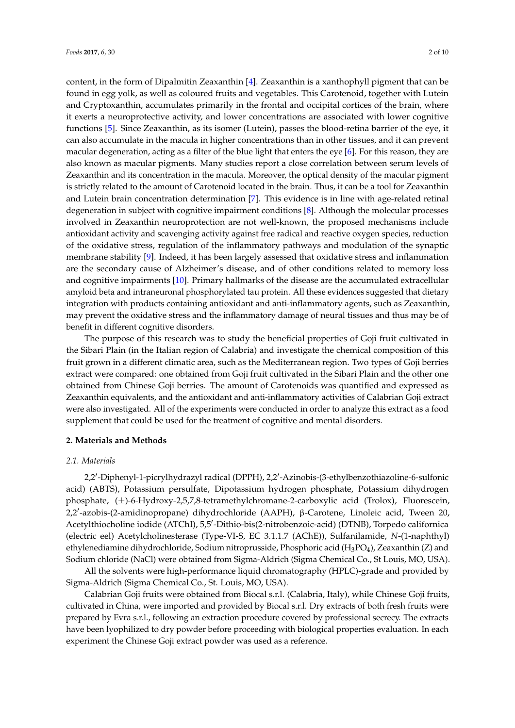content, in the form of Dipalmitin Zeaxanthin [\[4\]](#page-8-3). Zeaxanthin is a xanthophyll pigment that can be found in egg yolk, as well as coloured fruits and vegetables. This Carotenoid, together with Lutein and Cryptoxanthin, accumulates primarily in the frontal and occipital cortices of the brain, where it exerts a neuroprotective activity, and lower concentrations are associated with lower cognitive functions [\[5\]](#page-8-4). Since Zeaxanthin, as its isomer (Lutein), passes the blood-retina barrier of the eye, it can also accumulate in the macula in higher concentrations than in other tissues, and it can prevent macular degeneration, acting as a filter of the blue light that enters the eye [\[6\]](#page-8-5). For this reason, they are also known as macular pigments. Many studies report a close correlation between serum levels of Zeaxanthin and its concentration in the macula. Moreover, the optical density of the macular pigment is strictly related to the amount of Carotenoid located in the brain. Thus, it can be a tool for Zeaxanthin and Lutein brain concentration determination [\[7\]](#page-8-6). This evidence is in line with age-related retinal degeneration in subject with cognitive impairment conditions [\[8\]](#page-8-7). Although the molecular processes involved in Zeaxanthin neuroprotection are not well-known, the proposed mechanisms include antioxidant activity and scavenging activity against free radical and reactive oxygen species, reduction of the oxidative stress, regulation of the inflammatory pathways and modulation of the synaptic membrane stability [\[9\]](#page-8-8). Indeed, it has been largely assessed that oxidative stress and inflammation are the secondary cause of Alzheimer's disease, and of other conditions related to memory loss and cognitive impairments [\[10\]](#page-8-9). Primary hallmarks of the disease are the accumulated extracellular amyloid beta and intraneuronal phosphorylated tau protein. All these evidences suggested that dietary integration with products containing antioxidant and anti-inflammatory agents, such as Zeaxanthin, may prevent the oxidative stress and the inflammatory damage of neural tissues and thus may be of benefit in different cognitive disorders.

The purpose of this research was to study the beneficial properties of Goji fruit cultivated in the Sibari Plain (in the Italian region of Calabria) and investigate the chemical composition of this fruit grown in a different climatic area, such as the Mediterranean region. Two types of Goji berries extract were compared: one obtained from Goji fruit cultivated in the Sibari Plain and the other one obtained from Chinese Goji berries. The amount of Carotenoids was quantified and expressed as Zeaxanthin equivalents, and the antioxidant and anti-inflammatory activities of Calabrian Goji extract were also investigated. All of the experiments were conducted in order to analyze this extract as a food supplement that could be used for the treatment of cognitive and mental disorders.

#### **2. Materials and Methods**

#### *2.1. Materials*

2,2'-Diphenyl-1-picrylhydrazyl radical (DPPH), 2,2'-Azinobis-(3-ethylbenzothiazoline-6-sulfonic acid) (ABTS), Potassium persulfate, Dipotassium hydrogen phosphate, Potassium dihydrogen phosphate, (±)-6-Hydroxy-2,5,7,8-tetramethylchromane-2-carboxylic acid (Trolox), Fluorescein, 2,2'-azobis-(2-amidinopropane) dihydrochloride (AAPH), β-Carotene, Linoleic acid, Tween 20, Acetylthiocholine iodide (ATChI), 5,5'-Dithio-bis(2-nitrobenzoic-acid) (DTNB), Torpedo californica (electric eel) Acetylcholinesterase (Type-VI-S, EC 3.1.1.7 (AChE)), Sulfanilamide, *N*-(1-naphthyl) ethylenediamine dihydrochloride, Sodium nitroprusside, Phosphoric acid (H<sub>3</sub>PO<sub>4</sub>), Zeaxanthin (Z) and Sodium chloride (NaCl) were obtained from Sigma-Aldrich (Sigma Chemical Co., St Louis, MO, USA).

All the solvents were high-performance liquid chromatography (HPLC)-grade and provided by Sigma-Aldrich (Sigma Chemical Co., St. Louis, MO, USA).

Calabrian Goji fruits were obtained from Biocal s.r.l. (Calabria, Italy), while Chinese Goji fruits, cultivated in China, were imported and provided by Biocal s.r.l. Dry extracts of both fresh fruits were prepared by Evra s.r.l., following an extraction procedure covered by professional secrecy. The extracts have been lyophilized to dry powder before proceeding with biological properties evaluation. In each experiment the Chinese Goji extract powder was used as a reference.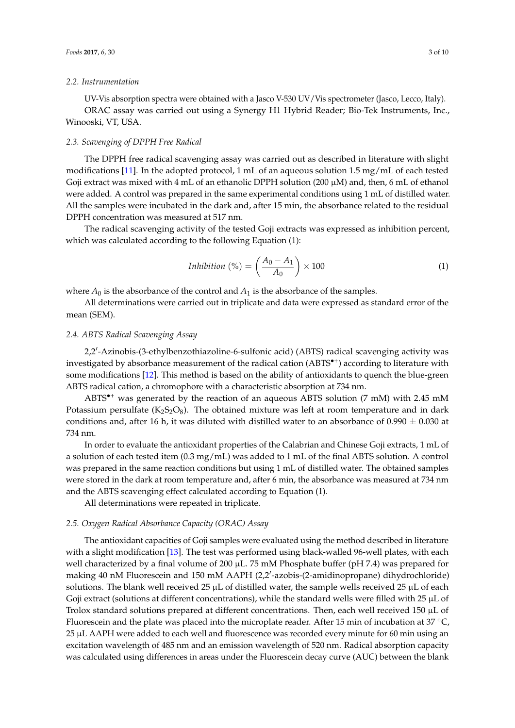#### *2.2. Instrumentation*

UV-Vis absorption spectra were obtained with a Jasco V-530 UV/Vis spectrometer (Jasco, Lecco, Italy). ORAC assay was carried out using a Synergy H1 Hybrid Reader; Bio-Tek Instruments, Inc., Winooski, VT, USA.

#### *2.3. Scavenging of DPPH Free Radical*

The DPPH free radical scavenging assay was carried out as described in literature with slight modifications [\[11\]](#page-8-10). In the adopted protocol, 1 mL of an aqueous solution 1.5 mg/mL of each tested Goji extract was mixed with 4 mL of an ethanolic DPPH solution (200  $\mu$ M) and, then, 6 mL of ethanol were added. A control was prepared in the same experimental conditions using 1 mL of distilled water. All the samples were incubated in the dark and, after 15 min, the absorbance related to the residual DPPH concentration was measured at 517 nm.

The radical scavenging activity of the tested Goji extracts was expressed as inhibition percent, which was calculated according to the following Equation (1):

$$
Inhibition\,(\%) = \left(\frac{A_0 - A_1}{A_0}\right) \times 100\tag{1}
$$

where  $A_0$  is the absorbance of the control and  $A_1$  is the absorbance of the samples.

All determinations were carried out in triplicate and data were expressed as standard error of the mean (SEM).

#### *2.4. ABTS Radical Scavenging Assay*

2,2'-Azinobis-(3-ethylbenzothiazoline-6-sulfonic acid) (ABTS) radical scavenging activity was investigated by absorbance measurement of the radical cation (ABTS<sup>\*+</sup>) according to literature with some modifications [\[12\]](#page-8-11). This method is based on the ability of antioxidants to quench the blue-green ABTS radical cation, a chromophore with a characteristic absorption at 734 nm.

ABTS•<sup>+</sup> was generated by the reaction of an aqueous ABTS solution (7 mM) with 2.45 mM Potassium persulfate  $(K_2S_2O_8)$ . The obtained mixture was left at room temperature and in dark conditions and, after 16 h, it was diluted with distilled water to an absorbance of  $0.990 \pm 0.030$  at 734 nm.

In order to evaluate the antioxidant properties of the Calabrian and Chinese Goji extracts, 1 mL of a solution of each tested item (0.3 mg/mL) was added to 1 mL of the final ABTS solution. A control was prepared in the same reaction conditions but using 1 mL of distilled water. The obtained samples were stored in the dark at room temperature and, after 6 min, the absorbance was measured at 734 nm and the ABTS scavenging effect calculated according to Equation (1).

All determinations were repeated in triplicate.

#### *2.5. Oxygen Radical Absorbance Capacity (ORAC) Assay*

The antioxidant capacities of Goji samples were evaluated using the method described in literature with a slight modification [\[13\]](#page-8-12). The test was performed using black-walled 96-well plates, with each well characterized by a final volume of 200  $\mu$ L. 75 mM Phosphate buffer (pH 7.4) was prepared for making 40 nM Fluorescein and 150 mM AAPH (2,2'-azobis-(2-amidinopropane) dihydrochloride) solutions. The blank well received  $25 \mu L$  of distilled water, the sample wells received  $25 \mu L$  of each Goji extract (solutions at different concentrations), while the standard wells were filled with 25 µL of Trolox standard solutions prepared at different concentrations. Then, each well received 150 µL of Fluorescein and the plate was placed into the microplate reader. After 15 min of incubation at  $37 \degree C$ , 25 µL AAPH were added to each well and fluorescence was recorded every minute for 60 min using an excitation wavelength of 485 nm and an emission wavelength of 520 nm. Radical absorption capacity was calculated using differences in areas under the Fluorescein decay curve (AUC) between the blank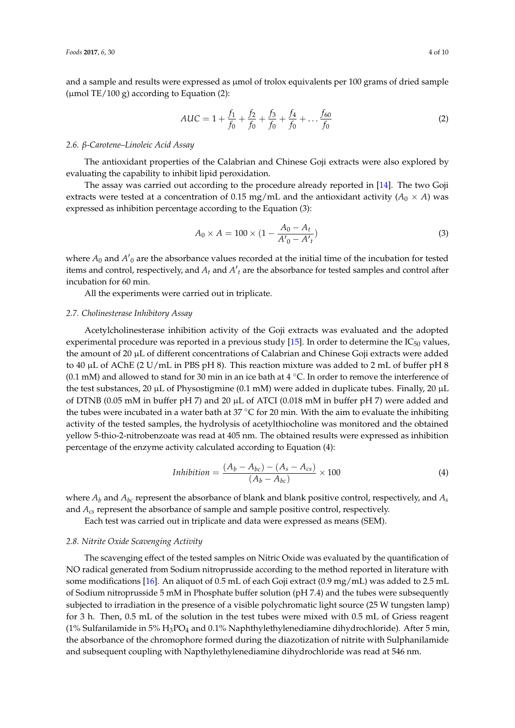and a sample and results were expressed as  $\mu$ mol of trolox equivalents per 100 grams of dried sample ( $\mu$ mol TE/100 g) according to Equation (2):

$$
AUC = 1 + \frac{f_1}{f_0} + \frac{f_2}{f_0} + \frac{f_3}{f_0} + \frac{f_4}{f_0} + \dots + \frac{f_{60}}{f_0}
$$
 (2)

#### *2.6. β-Carotene–Linoleic Acid Assay*

The antioxidant properties of the Calabrian and Chinese Goji extracts were also explored by evaluating the capability to inhibit lipid peroxidation.

The assay was carried out according to the procedure already reported in [\[14\]](#page-8-13). The two Goji extracts were tested at a concentration of 0.15 mg/mL and the antioxidant activity ( $A_0 \times A$ ) was expressed as inhibition percentage according to the Equation (3):

$$
A_0 \times A = 100 \times (1 - \frac{A_0 - A_t}{A'_0 - A'_t})
$$
\n(3)

where  $A_0$  and  $A'_0$  are the absorbance values recorded at the initial time of the incubation for tested items and control, respectively, and  $A_t$  and  $A'_t$  are the absorbance for tested samples and control after incubation for 60 min.

All the experiments were carried out in triplicate.

#### *2.7. Cholinesterase Inhibitory Assay*

Acetylcholinesterase inhibition activity of the Goji extracts was evaluated and the adopted experimental procedure was reported in a previous study [\[15\]](#page-8-14). In order to determine the  $IC_{50}$  values, the amount of 20 µL of different concentrations of Calabrian and Chinese Goji extracts were added to 40 µL of AChE (2 U/mL in PBS pH 8). This reaction mixture was added to 2 mL of buffer pH 8 (0.1 mM) and allowed to stand for 30 min in an ice bath at 4  $°C$ . In order to remove the interference of the test substances, 20  $\mu$ L of Physostigmine (0.1 mM) were added in duplicate tubes. Finally, 20  $\mu$ L of DTNB (0.05 mM in buffer pH 7) and 20  $\mu$ L of ATCI (0.018 mM in buffer pH 7) were added and the tubes were incubated in a water bath at  $37^{\circ}$ C for 20 min. With the aim to evaluate the inhibiting activity of the tested samples, the hydrolysis of acetylthiocholine was monitored and the obtained yellow 5-thio-2-nitrobenzoate was read at 405 nm. The obtained results were expressed as inhibition percentage of the enzyme activity calculated according to Equation (4):

$$
Inhibition = \frac{(A_b - A_{bc}) - (A_s - A_{cs})}{(A_b - A_{bc})} \times 100
$$
\n(4)

where  $A_b$  and  $A_{bc}$  represent the absorbance of blank and blank positive control, respectively, and  $A_s$ and *Acs* represent the absorbance of sample and sample positive control, respectively.

Each test was carried out in triplicate and data were expressed as means (SEM).

#### *2.8. Nitrite Oxide Scavenging Activity*

The scavenging effect of the tested samples on Nitric Oxide was evaluated by the quantification of NO radical generated from Sodium nitroprusside according to the method reported in literature with some modifications [\[16\]](#page-8-15). An aliquot of 0.5 mL of each Goji extract (0.9 mg/mL) was added to 2.5 mL of Sodium nitroprusside 5 mM in Phosphate buffer solution (pH 7.4) and the tubes were subsequently subjected to irradiation in the presence of a visible polychromatic light source (25 W tungsten lamp) for 3 h. Then, 0.5 mL of the solution in the test tubes were mixed with 0.5 mL of Griess reagent (1% Sulfanilamide in 5%  $H_3PO_4$  and 0.1% Naphthylethylenediamine dihydrochloride). After 5 min, the absorbance of the chromophore formed during the diazotization of nitrite with Sulphanilamide and subsequent coupling with Napthylethylenediamine dihydrochloride was read at 546 nm.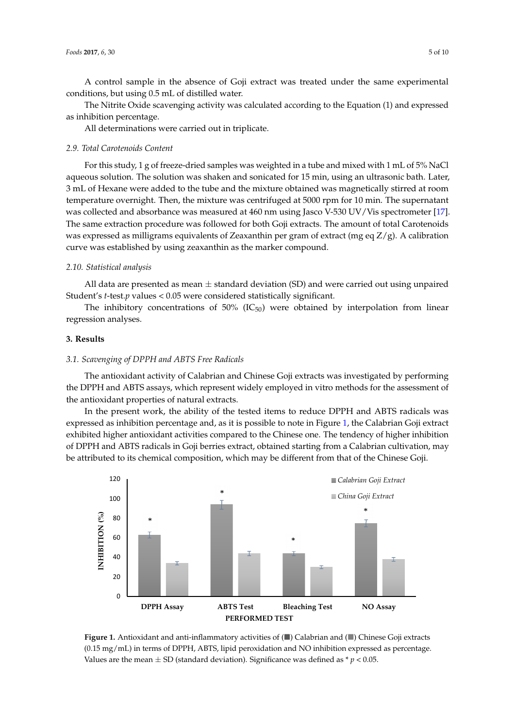A control sample in the absence of Goji extract was treated under the same experimental conditions, but using 0.5 mL of distilled water.

The Nitrite Oxide scavenging activity was calculated according to the Equation (1) and expressed The Nitrite Oxide scavenging activity was calculated according to the Equation (1) and as inhibition percentage.

All determinations were carried out in triplicate. All determinations were carried out in triplicate.

#### *2.9. Total Carotenoids Content 2.9. Total Carotenoids Content*

For this study, 1 g of freeze-dried samples was weighted in a tube and mixed with 1 mL of 5% NaCl For this study, 1 g of freeze‐dried samples was weighted in a tube and mixed with 1 mL of 5% aqueous solution. The solution was shaken and sonicated for 15 min, using an ultrasonic bath. Later, 3 mL of Hexane were added to the tube and the mixture obtained was magnetically stirred at room temperature overnight. Then, the mixture was centrifuged at 5000 rpm for 10 min. The supernatant was collected and absorbance was measured at 460 nm using Jasco V-530 UV/Vis spectrometer [\[17\]](#page-9-0). The same extraction procedure was followed for both Goji extracts. The amount of total Carotenoids was expressed as milligrams equivalents of Zeaxanthin per gram of extract (mg eq Z/g). A calibration curve was established by using zeaxanthin as the marker compound.  $\omega$  capitalization curve was established by using  $\omega$  using  $\omega$  as the marker compound.

# *2.10. Statistical analysis 2.10. Statistical analysis*

All data are presented as mean  $\pm$  standard deviation (SD) and were carried out using unpaired Student's *t*-test.*p* values <  $0.05$  were considered statistically significant.  $\frac{1}{2}$  in data are presented as in an  $\pm$  standard deviation (5D) and we

The inhibitory concentrations of  $50\%$  (IC<sub>50</sub>) were obtained by interpolation from linear regression analyses.

#### **3. Results**

#### *3.1. Scavenging of DPPH and ABTS Free Radicals 3.1. Scavenging of DPPH and ABTS Free Radicals*

The antioxidant activity of Calabrian and Chinese Goji extracts was investigated by performing the DPPH and ABTS assays, which represent widely employed in vitro methods for the assessment of the antioxidant properties of natural extracts. The antioxidant activity of Calabrian and Chinese Goji extracts was investigated by performing

In the present work, the ability of the tested items to reduce DPPH and ABTS radicals was expressed as inhibition percentage and, as it is possible to note in Figure [1,](#page-4-0) the Calabrian Goji extract exhibited higher antioxidant activities compared to the Chinese one. The tendency of higher inhibition of DPPH and ABTS radicals in Goji berries extract, obtained starting from a Calabrian cultivation, may be attributed to its chemical composition, which may be different from that of the Chinese Goji.

<span id="page-4-0"></span>

**Figure 1.** Antioxidant and anti-inflammatory activities of (■) Calabrian and (■) Chinese Goji extracts (0.15 mg/mL) in terms of DPPH, ABTS, lipid peroxidation and NO inhibition expressed as percentage. (0.15 mg/mL) in terms of DPPH, ABTS, lipid peroxidation and NO inhibition expressed as percentage. Values are the mean  $\pm$  SD (standard deviation). Significance was defined as  $*$   $p$  < 0.05.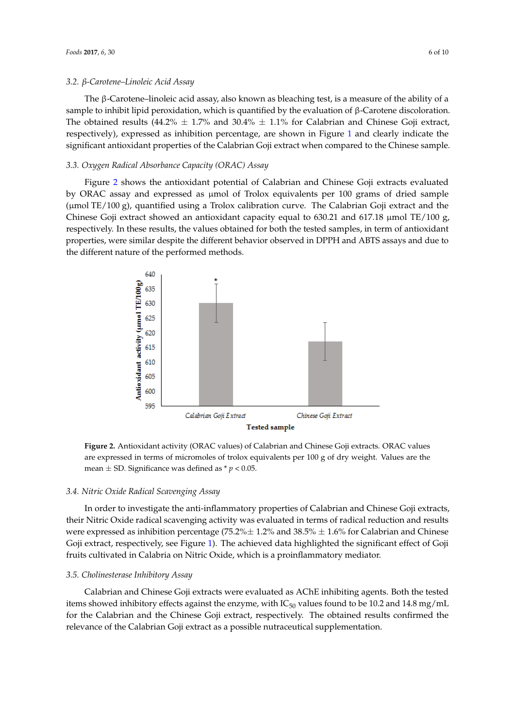The β-Carotene–linoleic acid assay, also known as bleaching test, is a measure of the ability of a The β‐Carotene–linoleic acid assay, also known as bleaching test, is a measure of the ability of a sample to inhibit lipid peroxidation, which is quantified by the evaluation of β-Carotene discoloration. The obtained results (44.2%  $\pm$  1.7% and 30.4%  $\pm$  1.1% for Calabrian and Chinese Goji extract, respectively), expressed as inhibition percentage, are shown in Figure [1](#page-4-0) and clearly indicate the significant antioxidant properties of the Calabrian Goji extract when compared to the Chinese sample.

#### *3.3. Oxygen Radical Absorbance Capacity (ORAC) Assay 3.3. Oxygen Radical Absorbance Capacity (ORAC) Assay*

Figure [2](#page-5-0) shows the antioxidant potential of Calabrian and Chinese Goji extracts evaluated by ORAC assay and expressed as µmol of Trolox equivalents per 100 grams of dried sample gy state assay and expressed as place of Trolox equivalents per 100 grams of dried sample (μmol TE/100 g), quantified using a Trolox calibration curve. The Calabrian Goji extract and the Chinese Goji extract showed an antioxidant capacity equal to 630.21 and 617.18 μmol TE/100 g, σ respectively. In these results, the values obtained for both the tested samples, in term of antioxidant properties, were similar despite the different behavior observed in DPPH and ABTS assays and due to the different nature of the performed methods. different nature of the performed methods.  $T_{\text{tot}}$  g), quantified using a Trolox calibration curve. The Calabrian Goji extract and the  $\frac{1}{2}$ 

<span id="page-5-0"></span>

**Figure 2.** Antioxidant activity (ORAC values) of Calabrian and Chinese Goji extracts. ORAC values **Figure 2.** Antioxidant activity (ORAC values) of Calabrian and Chinese Goji extracts. ORAC values are expressed in terms of micromoles of trolox equivalents per 100 g of dry weight. Values are the are expressed in terms of micromoles of trolox equivalents per 100 g of dry weight. Values are the mean  $\pm$  SD. Significance was defined as  $* p < 0.05$ .

## *3.4. Nitric Oxide Radical Scavenging Assay 3.4. Nitric Oxide Radical Scavenging Assay*

In order to investigate the anti-inflamentary properties of  $C_1$ In order to investigate the anti-inflammatory properties of Calabrian and Chinese Goji extracts,<br>In order to investigate the anti-inflammatory properties of Calabrian and Chinese Goji extracts, their Nitric Oxide radical scavenging activity was evaluated in terms of radical reduction and results<br>The calculation and Chinese results and results and results and results and results and results and results were expressed as inhibition percentage (75.2% $\pm$  1.2% and 38.5%  $\pm$  1.6% for Calabrian and Chinese Goji extract, respectively, see Figure [1\)](#page-4-0). The achieved data highlighted the significant effect of Goji fruits cultivated in Calabria on Nitric Oxide, which is a proinflammatory mediator.

#### $C^{\alpha}$  extracts were evaluated as  $C^{\alpha}$  in higher tested as ACH inhibiting agents. Both the tested as  $C^{\alpha}$ *3.5. Cholinesterase Inhibitory Assay*

Calabrian and Chinese Goji extracts were evaluated as AChE inhibiting agents. Both the tested items showed inhibitory effects against the enzyme, with IC $_{50}$  values found to be 10.2 and 14.8 mg/mL for the Calabrian and the Chinese Goji extract, respectively. The obtained results confirmed the relevance of the Calabrian Goji extract as a possible nutraceutical supplementation.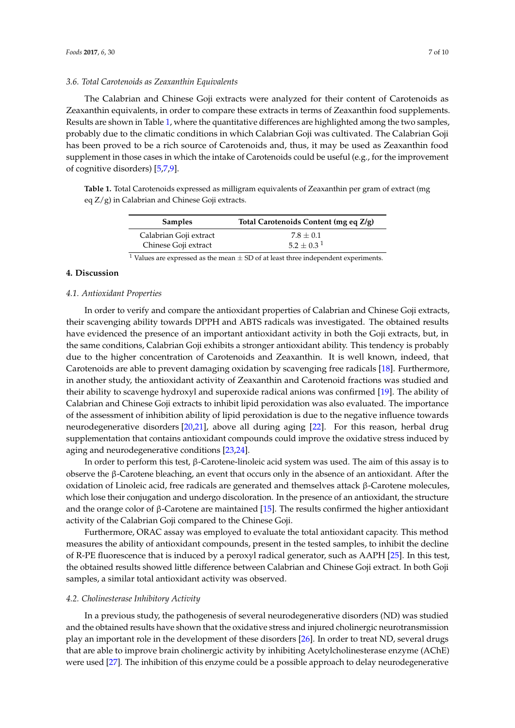#### *3.6. Total Carotenoids as Zeaxanthin Equivalents*

The Calabrian and Chinese Goji extracts were analyzed for their content of Carotenoids as Zeaxanthin equivalents, in order to compare these extracts in terms of Zeaxanthin food supplements. Results are shown in Table [1,](#page-6-0) where the quantitative differences are highlighted among the two samples, probably due to the climatic conditions in which Calabrian Goji was cultivated. The Calabrian Goji has been proved to be a rich source of Carotenoids and, thus, it may be used as Zeaxanthin food supplement in those cases in which the intake of Carotenoids could be useful (e.g., for the improvement of cognitive disorders) [\[5](#page-8-4)[,7](#page-8-6)[,9\]](#page-8-8).

<span id="page-6-0"></span>**Table 1.** Total Carotenoids expressed as milligram equivalents of Zeaxanthin per gram of extract (mg eq Z/g) in Calabrian and Chinese Goji extracts.

| <b>Samples</b>         | Total Carotenoids Content (mg eq Z/g) |
|------------------------|---------------------------------------|
| Calabrian Goji extract | $7.8 + 0.1$                           |
| Chinese Goji extract   | $5.2 + 0.3^1$                         |

<sup>1</sup> Values are expressed as the mean  $\pm$  SD of at least three independent experiments.

#### **4. Discussion**

#### *4.1. Antioxidant Properties*

In order to verify and compare the antioxidant properties of Calabrian and Chinese Goji extracts, their scavenging ability towards DPPH and ABTS radicals was investigated. The obtained results have evidenced the presence of an important antioxidant activity in both the Goji extracts, but, in the same conditions, Calabrian Goji exhibits a stronger antioxidant ability. This tendency is probably due to the higher concentration of Carotenoids and Zeaxanthin. It is well known, indeed, that Carotenoids are able to prevent damaging oxidation by scavenging free radicals [\[18\]](#page-9-1). Furthermore, in another study, the antioxidant activity of Zeaxanthin and Carotenoid fractions was studied and their ability to scavenge hydroxyl and superoxide radical anions was confirmed [\[19\]](#page-9-2). The ability of Calabrian and Chinese Goji extracts to inhibit lipid peroxidation was also evaluated. The importance of the assessment of inhibition ability of lipid peroxidation is due to the negative influence towards neurodegenerative disorders [\[20](#page-9-3)[,21\]](#page-9-4), above all during aging [\[22\]](#page-9-5). For this reason, herbal drug supplementation that contains antioxidant compounds could improve the oxidative stress induced by aging and neurodegenerative conditions [\[23,](#page-9-6)[24\]](#page-9-7).

In order to perform this test, β-Carotene-linoleic acid system was used. The aim of this assay is to observe the β-Carotene bleaching, an event that occurs only in the absence of an antioxidant. After the oxidation of Linoleic acid, free radicals are generated and themselves attack β-Carotene molecules, which lose their conjugation and undergo discoloration. In the presence of an antioxidant, the structure and the orange color of  $\beta$ -Carotene are maintained [\[15\]](#page-8-14). The results confirmed the higher antioxidant activity of the Calabrian Goji compared to the Chinese Goji.

Furthermore, ORAC assay was employed to evaluate the total antioxidant capacity. This method measures the ability of antioxidant compounds, present in the tested samples, to inhibit the decline of R-PE fluorescence that is induced by a peroxyl radical generator, such as AAPH [\[25\]](#page-9-8). In this test, the obtained results showed little difference between Calabrian and Chinese Goji extract. In both Goji samples, a similar total antioxidant activity was observed.

#### *4.2. Cholinesterase Inhibitory Activity*

In a previous study, the pathogenesis of several neurodegenerative disorders (ND) was studied and the obtained results have shown that the oxidative stress and injured cholinergic neurotransmission play an important role in the development of these disorders [\[26\]](#page-9-9). In order to treat ND, several drugs that are able to improve brain cholinergic activity by inhibiting Acetylcholinesterase enzyme (AChE) were used [\[27\]](#page-9-10). The inhibition of this enzyme could be a possible approach to delay neurodegenerative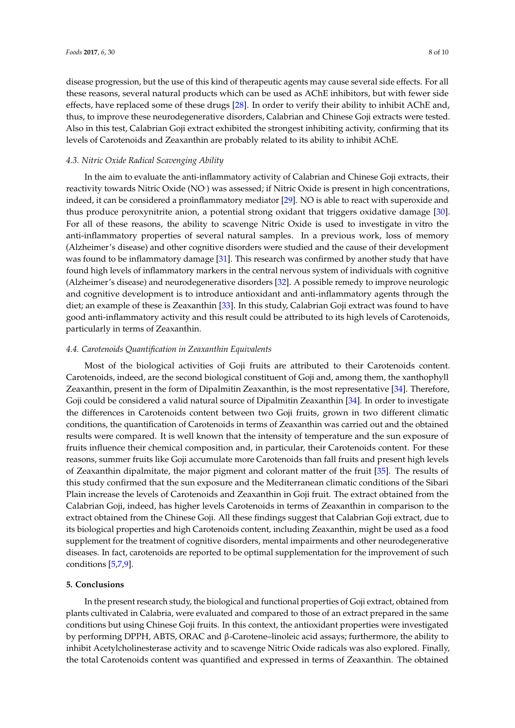disease progression, but the use of this kind of therapeutic agents may cause several side effects. For all these reasons, several natural products which can be used as AChE inhibitors, but with fewer side effects, have replaced some of these drugs [\[28\]](#page-9-11). In order to verify their ability to inhibit AChE and, thus, to improve these neurodegenerative disorders, Calabrian and Chinese Goji extracts were tested. Also in this test, Calabrian Goji extract exhibited the strongest inhibiting activity, confirming that its levels of Carotenoids and Zeaxanthin are probably related to its ability to inhibit AChE.

#### *4.3. Nitric Oxide Radical Scavenging Ability*

In the aim to evaluate the anti-inflammatory activity of Calabrian and Chinese Goji extracts, their reactivity towards Nitric Oxide (NO) was assessed; if Nitric Oxide is present in high concentrations, indeed, it can be considered a proinflammatory mediator [\[29\]](#page-9-12). NO is able to react with superoxide and thus produce peroxynitrite anion, a potential strong oxidant that triggers oxidative damage [\[30\]](#page-9-13). For all of these reasons, the ability to scavenge Nitric Oxide is used to investigate in vitro the anti-inflammatory properties of several natural samples. In a previous work, loss of memory (Alzheimer's disease) and other cognitive disorders were studied and the cause of their development was found to be inflammatory damage [\[31\]](#page-9-14). This research was confirmed by another study that have found high levels of inflammatory markers in the central nervous system of individuals with cognitive (Alzheimer's disease) and neurodegenerative disorders [\[32\]](#page-9-15). A possible remedy to improve neurologic and cognitive development is to introduce antioxidant and anti-inflammatory agents through the diet; an example of these is Zeaxanthin [\[33\]](#page-9-16). In this study, Calabrian Goji extract was found to have good anti-inflammatory activity and this result could be attributed to its high levels of Carotenoids, particularly in terms of Zeaxanthin.

#### *4.4. Carotenoids Quantification in Zeaxanthin Equivalents*

Most of the biological activities of Goji fruits are attributed to their Carotenoids content. Carotenoids, indeed, are the second biological constituent of Goji and, among them, the xanthophyll Zeaxanthin, present in the form of Dipalmitin Zeaxanthin, is the most representative [\[34\]](#page-9-17). Therefore, Goji could be considered a valid natural source of Dipalmitin Zeaxanthin [\[34\]](#page-9-17). In order to investigate the differences in Carotenoids content between two Goji fruits, grown in two different climatic conditions, the quantification of Carotenoids in terms of Zeaxanthin was carried out and the obtained results were compared. It is well known that the intensity of temperature and the sun exposure of fruits influence their chemical composition and, in particular, their Carotenoids content. For these reasons, summer fruits like Goji accumulate more Carotenoids than fall fruits and present high levels of Zeaxanthin dipalmitate, the major pigment and colorant matter of the fruit [\[35\]](#page-9-18). The results of this study confirmed that the sun exposure and the Mediterranean climatic conditions of the Sibari Plain increase the levels of Carotenoids and Zeaxanthin in Goji fruit. The extract obtained from the Calabrian Goji, indeed, has higher levels Carotenoids in terms of Zeaxanthin in comparison to the extract obtained from the Chinese Goji. All these findings suggest that Calabrian Goji extract, due to its biological properties and high Carotenoids content, including Zeaxanthin, might be used as a food supplement for the treatment of cognitive disorders, mental impairments and other neurodegenerative diseases. In fact, carotenoids are reported to be optimal supplementation for the improvement of such conditions [\[5,](#page-8-4)[7,](#page-8-6)[9\]](#page-8-8).

#### **5. Conclusions**

In the present research study, the biological and functional properties of Goji extract, obtained from plants cultivated in Calabria, were evaluated and compared to those of an extract prepared in the same conditions but using Chinese Goji fruits. In this context, the antioxidant properties were investigated by performing DPPH, ABTS, ORAC and β-Carotene–linoleic acid assays; furthermore, the ability to inhibit Acetylcholinesterase activity and to scavenge Nitric Oxide radicals was also explored. Finally, the total Carotenoids content was quantified and expressed in terms of Zeaxanthin. The obtained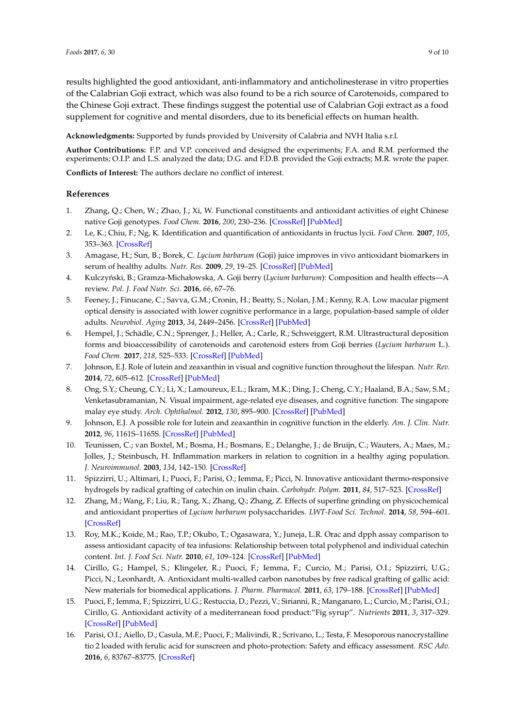results highlighted the good antioxidant, anti-inflammatory and anticholinesterase in vitro properties of the Calabrian Goji extract, which was also found to be a rich source of Carotenoids, compared to the Chinese Goji extract. These findings suggest the potential use of Calabrian Goji extract as a food supplement for cognitive and mental disorders, due to its beneficial effects on human health.

**Acknowledgments:** Supported by funds provided by University of Calabria and NVH Italia s.r.l.

**Author Contributions:** F.P. and V.P. conceived and designed the experiments; F.A. and R.M. performed the experiments; O.I.P. and L.S. analyzed the data; D.G. and F.D.B. provided the Goji extracts; M.R. wrote the paper.

**Conflicts of Interest:** The authors declare no conflict of interest.

#### **References**

- <span id="page-8-0"></span>1. Zhang, Q.; Chen, W.; Zhao, J.; Xi, W. Functional constituents and antioxidant activities of eight Chinese native Goji genotypes. *Food Chem.* **2016**, *200*, 230–236. [\[CrossRef\]](http://dx.doi.org/10.1016/j.foodchem.2016.01.046) [\[PubMed\]](http://www.ncbi.nlm.nih.gov/pubmed/26830583)
- <span id="page-8-1"></span>2. Le, K.; Chiu, F.; Ng, K. Identification and quantification of antioxidants in fructus lycii. *Food Chem.* **2007**, *105*, 353–363. [\[CrossRef\]](http://dx.doi.org/10.1016/j.foodchem.2006.11.063)
- <span id="page-8-2"></span>3. Amagase, H.; Sun, B.; Borek, C. *Lycium barbarum* (Goji) juice improves in vivo antioxidant biomarkers in serum of healthy adults. *Nutr. Res.* **2009**, *29*, 19–25. [\[CrossRef\]](http://dx.doi.org/10.1016/j.nutres.2008.11.005) [\[PubMed\]](http://www.ncbi.nlm.nih.gov/pubmed/19185773)
- <span id="page-8-3"></span>4. Kulczyński, B.; Gramza-Michałowska, A. Goji berry (*Lycium barbarum*): Composition and health effects—A review. *Pol. J. Food Nutr. Sci.* **2016**, *66*, 67–76.
- <span id="page-8-4"></span>5. Feeney, J.; Finucane, C.; Savva, G.M.; Cronin, H.; Beatty, S.; Nolan, J.M.; Kenny, R.A. Low macular pigment optical density is associated with lower cognitive performance in a large, population-based sample of older adults. *Neurobiol. Aging* **2013**, *34*, 2449–2456. [\[CrossRef\]](http://dx.doi.org/10.1016/j.neurobiolaging.2013.05.007) [\[PubMed\]](http://www.ncbi.nlm.nih.gov/pubmed/23769396)
- <span id="page-8-5"></span>6. Hempel, J.; Schädle, C.N.; Sprenger, J.; Heller, A.; Carle, R.; Schweiggert, R.M. Ultrastructural deposition forms and bioaccessibility of carotenoids and carotenoid esters from Goji berries (*Lycium barbarum* L.). *Food Chem.* **2017**, *218*, 525–533. [\[CrossRef\]](http://dx.doi.org/10.1016/j.foodchem.2016.09.065) [\[PubMed\]](http://www.ncbi.nlm.nih.gov/pubmed/27719945)
- <span id="page-8-6"></span>7. Johnson, E.J. Role of lutein and zeaxanthin in visual and cognitive function throughout the lifespan. *Nutr. Rev.* **2014**, *72*, 605–612. [\[CrossRef\]](http://dx.doi.org/10.1111/nure.12133) [\[PubMed\]](http://www.ncbi.nlm.nih.gov/pubmed/25109868)
- <span id="page-8-7"></span>8. Ong, S.Y.; Cheung, C.Y.; Li, X.; Lamoureux, E.L.; Ikram, M.K.; Ding, J.; Cheng, C.Y.; Haaland, B.A.; Saw, S.M.; Venketasubramanian, N. Visual impairment, age-related eye diseases, and cognitive function: The singapore malay eye study. *Arch. Ophthalmol.* **2012**, *130*, 895–900. [\[CrossRef\]](http://dx.doi.org/10.1001/archophthalmol.2012.152) [\[PubMed\]](http://www.ncbi.nlm.nih.gov/pubmed/22410630)
- <span id="page-8-8"></span>9. Johnson, E.J. A possible role for lutein and zeaxanthin in cognitive function in the elderly. *Am. J. Clin. Nutr.* **2012**, *96*, 1161S–1165S. [\[CrossRef\]](http://dx.doi.org/10.3945/ajcn.112.034611) [\[PubMed\]](http://www.ncbi.nlm.nih.gov/pubmed/23053547)
- <span id="page-8-9"></span>10. Teunissen, C.; van Boxtel, M.; Bosma, H.; Bosmans, E.; Delanghe, J.; de Bruijn, C.; Wauters, A.; Maes, M.; Jolles, J.; Steinbusch, H. Inflammation markers in relation to cognition in a healthy aging population. *J. Neuroimmunol.* **2003**, *134*, 142–150. [\[CrossRef\]](http://dx.doi.org/10.1016/S0165-5728(02)00398-3)
- <span id="page-8-10"></span>11. Spizzirri, U.; Altimari, I.; Puoci, F.; Parisi, O.; Iemma, F.; Picci, N. Innovative antioxidant thermo-responsive hydrogels by radical grafting of catechin on inulin chain. *Carbohydr. Polym.* **2011**, *84*, 517–523. [\[CrossRef\]](http://dx.doi.org/10.1016/j.carbpol.2010.12.015)
- <span id="page-8-11"></span>12. Zhang, M.; Wang, F.; Liu, R.; Tang, X.; Zhang, Q.; Zhang, Z. Effects of superfine grinding on physicochemical and antioxidant properties of *Lycium barbarum* polysaccharides. *LWT-Food Sci. Technol.* **2014**, *58*, 594–601. [\[CrossRef\]](http://dx.doi.org/10.1016/j.lwt.2014.04.020)
- <span id="page-8-12"></span>13. Roy, M.K.; Koide, M.; Rao, T.P.; Okubo, T.; Ogasawara, Y.; Juneja, L.R. Orac and dpph assay comparison to assess antioxidant capacity of tea infusions: Relationship between total polyphenol and individual catechin content. *Int. J. Food Sci. Nutr.* **2010**, *61*, 109–124. [\[CrossRef\]](http://dx.doi.org/10.3109/09637480903292601) [\[PubMed\]](http://www.ncbi.nlm.nih.gov/pubmed/20109129)
- <span id="page-8-13"></span>14. Cirillo, G.; Hampel, S.; Klingeler, R.; Puoci, F.; Iemma, F.; Curcio, M.; Parisi, O.I.; Spizzirri, U.G.; Picci, N.; Leonhardt, A. Antioxidant multi-walled carbon nanotubes by free radical grafting of gallic acid: New materials for biomedical applications. *J. Pharm. Pharmacol.* **2011**, *63*, 179–188. [\[CrossRef\]](http://dx.doi.org/10.1111/j.2042-7158.2010.01211.x) [\[PubMed\]](http://www.ncbi.nlm.nih.gov/pubmed/21235581)
- <span id="page-8-14"></span>15. Puoci, F.; Iemma, F.; Spizzirri, U.G.; Restuccia, D.; Pezzi, V.; Sirianni, R.; Manganaro, L.; Curcio, M.; Parisi, O.I.; Cirillo, G. Antioxidant activity of a mediterranean food product:"Fig syrup". *Nutrients* **2011**, *3*, 317–329. [\[CrossRef\]](http://dx.doi.org/10.3390/nu3030317) [\[PubMed\]](http://www.ncbi.nlm.nih.gov/pubmed/22254099)
- <span id="page-8-15"></span>16. Parisi, O.I.; Aiello, D.; Casula, M.F.; Puoci, F.; Malivindi, R.; Scrivano, L.; Testa, F. Mesoporous nanocrystalline tio 2 loaded with ferulic acid for sunscreen and photo-protection: Safety and efficacy assessment. *RSC Adv.* **2016**, *6*, 83767–83775. [\[CrossRef\]](http://dx.doi.org/10.1039/C6RA07653J)